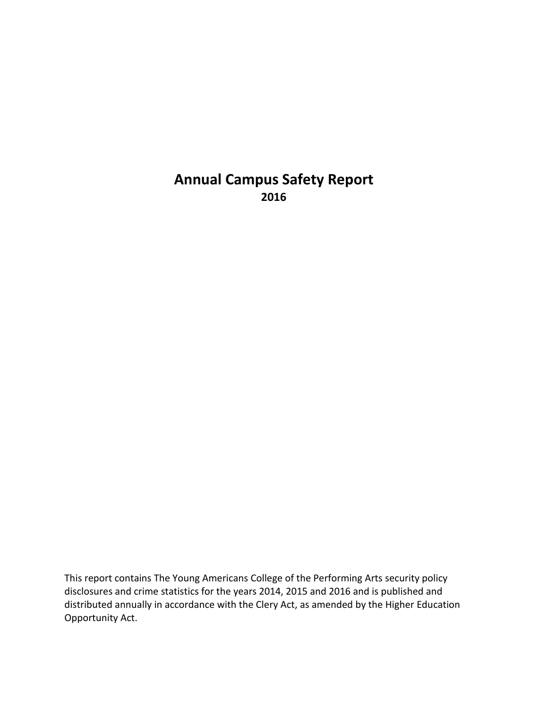**Annual Campus Safety Report 2016**

This report contains The Young Americans College of the Performing Arts security policy disclosures and crime statistics for the years 2014, 2015 and 2016 and is published and distributed annually in accordance with the Clery Act, as amended by the Higher Education Opportunity Act.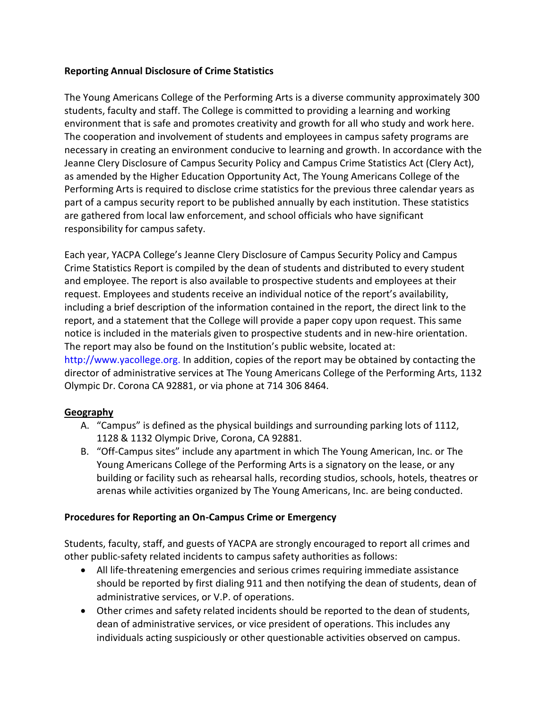# **Reporting Annual Disclosure of Crime Statistics**

The Young Americans College of the Performing Arts is a diverse community approximately 300 students, faculty and staff. The College is committed to providing a learning and working environment that is safe and promotes creativity and growth for all who study and work here. The cooperation and involvement of students and employees in campus safety programs are necessary in creating an environment conducive to learning and growth. In accordance with the Jeanne Clery Disclosure of Campus Security Policy and Campus Crime Statistics Act (Clery Act), as amended by the Higher Education Opportunity Act, The Young Americans College of the Performing Arts is required to disclose crime statistics for the previous three calendar years as part of a campus security report to be published annually by each institution. These statistics are gathered from local law enforcement, and school officials who have significant responsibility for campus safety.

Each year, YACPA College's Jeanne Clery Disclosure of Campus Security Policy and Campus Crime Statistics Report is compiled by the dean of students and distributed to every student and employee. The report is also available to prospective students and employees at their request. Employees and students receive an individual notice of the report's availability, including a brief description of the information contained in the report, the direct link to the report, and a statement that the College will provide a paper copy upon request. This same notice is included in the materials given to prospective students and in new-hire orientation. The report may also be found on the Institution's public website, located at: http://www.yacollege.org. In addition, copies of the report may be obtained by contacting the

# director of administrative services at The Young Americans College of the Performing Arts, 1132 Olympic Dr. Corona CA 92881, or via phone at 714 306 8464.

# **Geography**

- A. "Campus" is defined as the physical buildings and surrounding parking lots of 1112, 1128 & 1132 Olympic Drive, Corona, CA 92881.
- B. "Off-Campus sites" include any apartment in which The Young American, Inc. or The Young Americans College of the Performing Arts is a signatory on the lease, or any building or facility such as rehearsal halls, recording studios, schools, hotels, theatres or arenas while activities organized by The Young Americans, Inc. are being conducted.

# **Procedures for Reporting an On-Campus Crime or Emergency**

Students, faculty, staff, and guests of YACPA are strongly encouraged to report all crimes and other public-safety related incidents to campus safety authorities as follows:

- All life-threatening emergencies and serious crimes requiring immediate assistance should be reported by first dialing 911 and then notifying the dean of students, dean of administrative services, or V.P. of operations.
- Other crimes and safety related incidents should be reported to the dean of students, dean of administrative services, or vice president of operations. This includes any individuals acting suspiciously or other questionable activities observed on campus.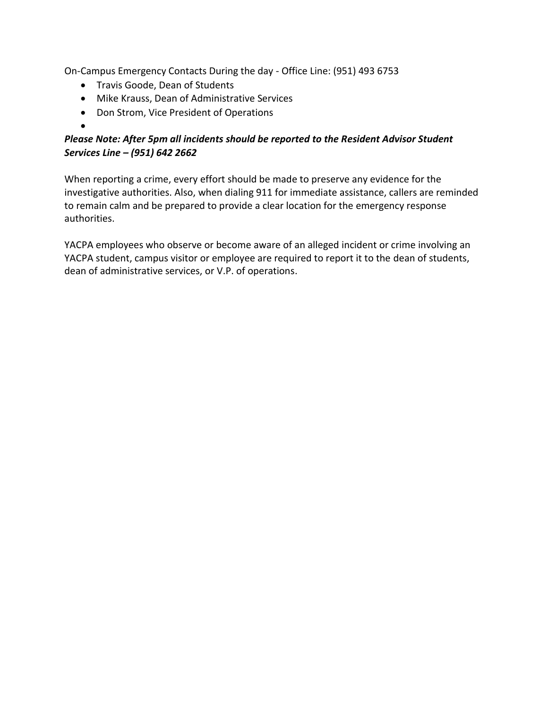On-Campus Emergency Contacts During the day - Office Line: (951) 493 6753

• Travis Goode, Dean of Students

•

- Mike Krauss, Dean of Administrative Services
- Don Strom, Vice President of Operations

# *Please Note: After 5pm all incidents should be reported to the Resident Advisor Student Services Line – (951) 642 2662*

When reporting a crime, every effort should be made to preserve any evidence for the investigative authorities. Also, when dialing 911 for immediate assistance, callers are reminded to remain calm and be prepared to provide a clear location for the emergency response authorities.

YACPA employees who observe or become aware of an alleged incident or crime involving an YACPA student, campus visitor or employee are required to report it to the dean of students, dean of administrative services, or V.P. of operations.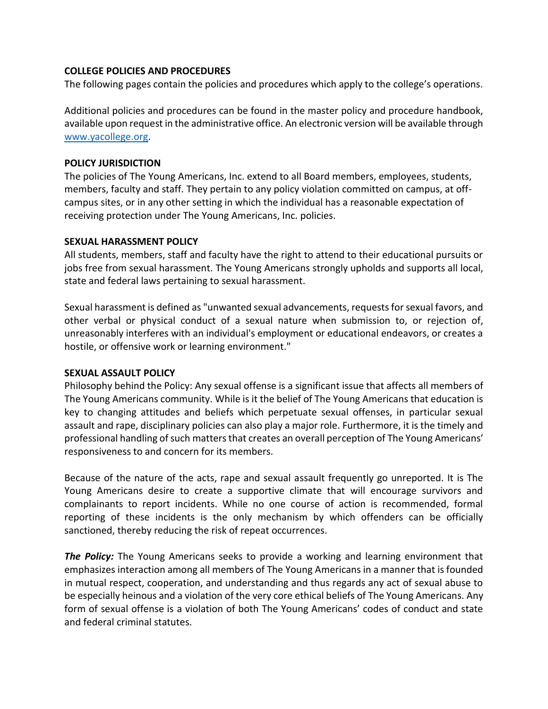### **COLLEGE POLICIES AND PROCEDURES**

The following pages contain the policies and procedures which apply to the college's operations.

Additional policies and procedures can be found in the master policy and procedure handbook, available upon request in the administrative office. An electronic version will be available through [www.yacollege.org.](http://www.yacollege.org/)

#### **POLICY JURISDICTION**

The policies of The Young Americans, Inc. extend to all Board members, employees, students, members, faculty and staff. They pertain to any policy violation committed on campus, at offcampus sites, or in any other setting in which the individual has a reasonable expectation of receiving protection under The Young Americans, Inc. policies.

#### **SEXUAL HARASSMENT POLICY**

All students, members, staff and faculty have the right to attend to their educational pursuits or jobs free from sexual harassment. The Young Americans strongly upholds and supports all local, state and federal laws pertaining to sexual harassment.

Sexual harassment is defined as "unwanted sexual advancements, requests for sexual favors, and other verbal or physical conduct of a sexual nature when submission to, or rejection of, unreasonably interferes with an individual's employment or educational endeavors, or creates a hostile, or offensive work or learning environment."

#### **SEXUAL ASSAULT POLICY**

Philosophy behind the Policy: Any sexual offense is a significant issue that affects all members of The Young Americans community. While is it the belief of The Young Americans that education is key to changing attitudes and beliefs which perpetuate sexual offenses, in particular sexual assault and rape, disciplinary policies can also play a major role. Furthermore, it is the timely and professional handling of such matters that creates an overall perception of The Young Americans' responsiveness to and concern for its members.

Because of the nature of the acts, rape and sexual assault frequently go unreported. It is The Young Americans desire to create a supportive climate that will encourage survivors and complainants to report incidents. While no one course of action is recommended, formal reporting of these incidents is the only mechanism by which offenders can be officially sanctioned, thereby reducing the risk of repeat occurrences.

**The Policy:** The Young Americans seeks to provide a working and learning environment that emphasizes interaction among all members of The Young Americans in a manner that is founded in mutual respect, cooperation, and understanding and thus regards any act of sexual abuse to be especially heinous and a violation of the very core ethical beliefs of The Young Americans. Any form of sexual offense is a violation of both The Young Americans' codes of conduct and state and federal criminal statutes.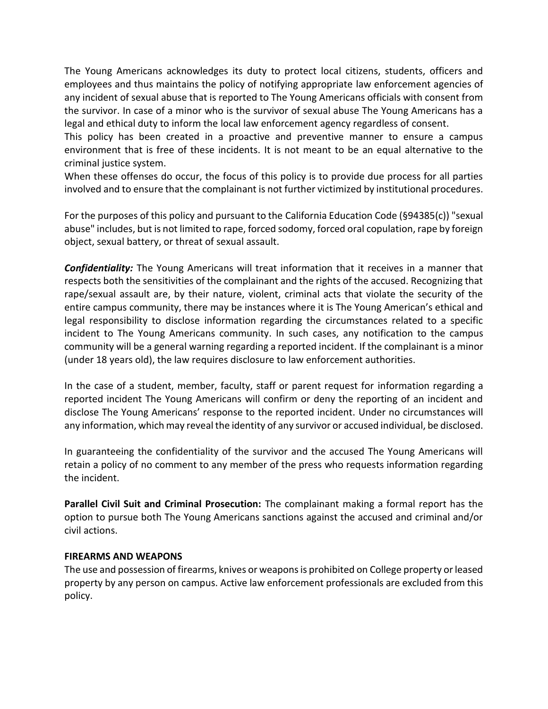The Young Americans acknowledges its duty to protect local citizens, students, officers and employees and thus maintains the policy of notifying appropriate law enforcement agencies of any incident of sexual abuse that is reported to The Young Americans officials with consent from the survivor. In case of a minor who is the survivor of sexual abuse The Young Americans has a legal and ethical duty to inform the local law enforcement agency regardless of consent.

This policy has been created in a proactive and preventive manner to ensure a campus environment that is free of these incidents. It is not meant to be an equal alternative to the criminal justice system.

When these offenses do occur, the focus of this policy is to provide due process for all parties involved and to ensure that the complainant is not further victimized by institutional procedures.

For the purposes of this policy and pursuant to the California Education Code (§94385(c)) "sexual abuse" includes, but is not limited to rape, forced sodomy, forced oral copulation, rape by foreign object, sexual battery, or threat of sexual assault.

*Confidentiality:* The Young Americans will treat information that it receives in a manner that respects both the sensitivities of the complainant and the rights of the accused. Recognizing that rape/sexual assault are, by their nature, violent, criminal acts that violate the security of the entire campus community, there may be instances where it is The Young American's ethical and legal responsibility to disclose information regarding the circumstances related to a specific incident to The Young Americans community. In such cases, any notification to the campus community will be a general warning regarding a reported incident. If the complainant is a minor (under 18 years old), the law requires disclosure to law enforcement authorities.

In the case of a student, member, faculty, staff or parent request for information regarding a reported incident The Young Americans will confirm or deny the reporting of an incident and disclose The Young Americans' response to the reported incident. Under no circumstances will any information, which may reveal the identity of any survivor or accused individual, be disclosed.

In guaranteeing the confidentiality of the survivor and the accused The Young Americans will retain a policy of no comment to any member of the press who requests information regarding the incident.

**Parallel Civil Suit and Criminal Prosecution:** The complainant making a formal report has the option to pursue both The Young Americans sanctions against the accused and criminal and/or civil actions.

### **FIREARMS AND WEAPONS**

The use and possession of firearms, knives or weapons is prohibited on College property or leased property by any person on campus. Active law enforcement professionals are excluded from this policy.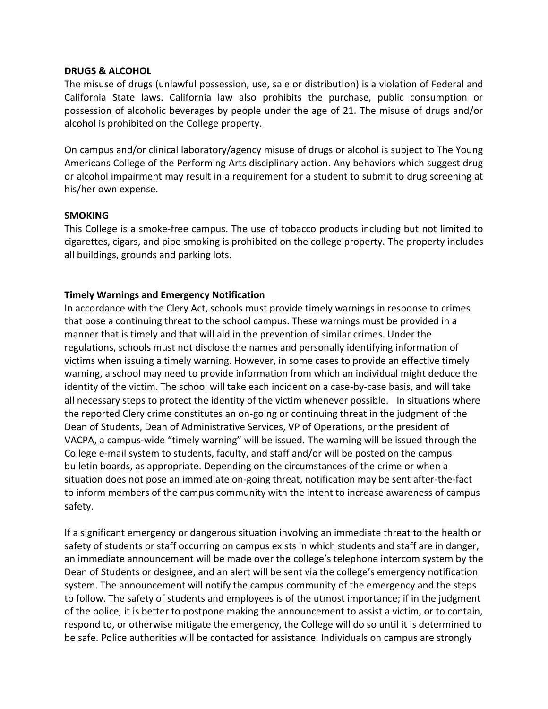#### **DRUGS & ALCOHOL**

The misuse of drugs (unlawful possession, use, sale or distribution) is a violation of Federal and California State laws. California law also prohibits the purchase, public consumption or possession of alcoholic beverages by people under the age of 21. The misuse of drugs and/or alcohol is prohibited on the College property.

On campus and/or clinical laboratory/agency misuse of drugs or alcohol is subject to The Young Americans College of the Performing Arts disciplinary action. Any behaviors which suggest drug or alcohol impairment may result in a requirement for a student to submit to drug screening at his/her own expense.

### **SMOKING**

This College is a smoke-free campus. The use of tobacco products including but not limited to cigarettes, cigars, and pipe smoking is prohibited on the college property. The property includes all buildings, grounds and parking lots.

### **Timely Warnings and Emergency Notification**

In accordance with the Clery Act, schools must provide timely warnings in response to crimes that pose a continuing threat to the school campus. These warnings must be provided in a manner that is timely and that will aid in the prevention of similar crimes. Under the regulations, schools must not disclose the names and personally identifying information of victims when issuing a timely warning. However, in some cases to provide an effective timely warning, a school may need to provide information from which an individual might deduce the identity of the victim. The school will take each incident on a case-by-case basis, and will take all necessary steps to protect the identity of the victim whenever possible. In situations where the reported Clery crime constitutes an on-going or continuing threat in the judgment of the Dean of Students, Dean of Administrative Services, VP of Operations, or the president of VACPA, a campus-wide "timely warning" will be issued. The warning will be issued through the College e-mail system to students, faculty, and staff and/or will be posted on the campus bulletin boards, as appropriate. Depending on the circumstances of the crime or when a situation does not pose an immediate on-going threat, notification may be sent after-the-fact to inform members of the campus community with the intent to increase awareness of campus safety.

If a significant emergency or dangerous situation involving an immediate threat to the health or safety of students or staff occurring on campus exists in which students and staff are in danger, an immediate announcement will be made over the college's telephone intercom system by the Dean of Students or designee, and an alert will be sent via the college's emergency notification system. The announcement will notify the campus community of the emergency and the steps to follow. The safety of students and employees is of the utmost importance; if in the judgment of the police, it is better to postpone making the announcement to assist a victim, or to contain, respond to, or otherwise mitigate the emergency, the College will do so until it is determined to be safe. Police authorities will be contacted for assistance. Individuals on campus are strongly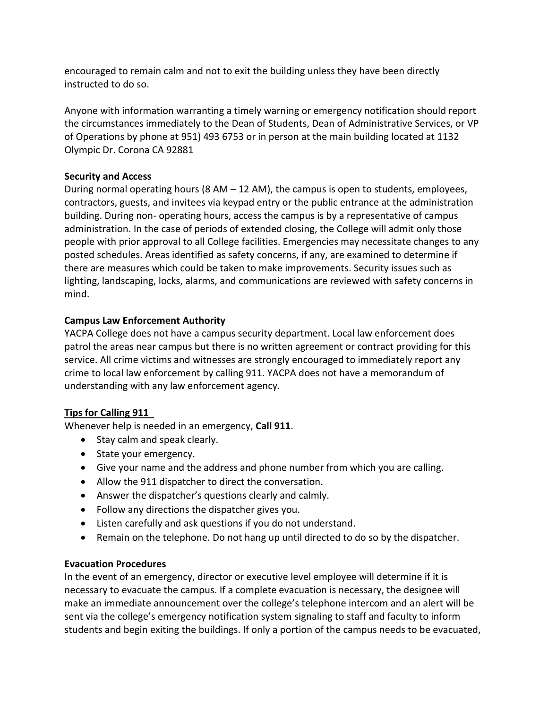encouraged to remain calm and not to exit the building unless they have been directly instructed to do so.

Anyone with information warranting a timely warning or emergency notification should report the circumstances immediately to the Dean of Students, Dean of Administrative Services, or VP of Operations by phone at 951) 493 6753 or in person at the main building located at 1132 Olympic Dr. Corona CA 92881

# **Security and Access**

During normal operating hours (8 AM  $-$  12 AM), the campus is open to students, employees, contractors, guests, and invitees via keypad entry or the public entrance at the administration building. During non- operating hours, access the campus is by a representative of campus administration. In the case of periods of extended closing, the College will admit only those people with prior approval to all College facilities. Emergencies may necessitate changes to any posted schedules. Areas identified as safety concerns, if any, are examined to determine if there are measures which could be taken to make improvements. Security issues such as lighting, landscaping, locks, alarms, and communications are reviewed with safety concerns in mind.

# **Campus Law Enforcement Authority**

YACPA College does not have a campus security department. Local law enforcement does patrol the areas near campus but there is no written agreement or contract providing for this service. All crime victims and witnesses are strongly encouraged to immediately report any crime to local law enforcement by calling 911. YACPA does not have a memorandum of understanding with any law enforcement agency.

# **Tips for Calling 911**

Whenever help is needed in an emergency, **Call 911**.

- Stay calm and speak clearly.
- State your emergency.
- Give your name and the address and phone number from which you are calling.
- Allow the 911 dispatcher to direct the conversation.
- Answer the dispatcher's questions clearly and calmly.
- Follow any directions the dispatcher gives you.
- Listen carefully and ask questions if you do not understand.
- Remain on the telephone. Do not hang up until directed to do so by the dispatcher.

# **Evacuation Procedures**

In the event of an emergency, director or executive level employee will determine if it is necessary to evacuate the campus. If a complete evacuation is necessary, the designee will make an immediate announcement over the college's telephone intercom and an alert will be sent via the college's emergency notification system signaling to staff and faculty to inform students and begin exiting the buildings. If only a portion of the campus needs to be evacuated,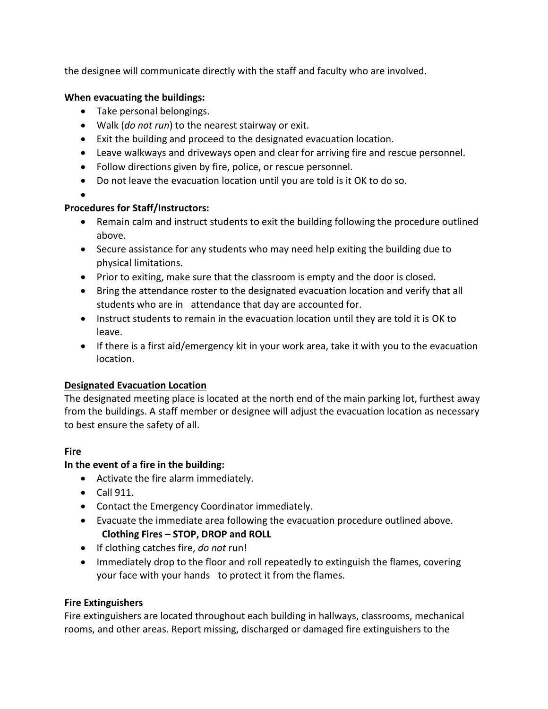the designee will communicate directly with the staff and faculty who are involved.

# **When evacuating the buildings:**

- Take personal belongings.
- Walk (*do not run*) to the nearest stairway or exit.
- Exit the building and proceed to the designated evacuation location.
- Leave walkways and driveways open and clear for arriving fire and rescue personnel.
- Follow directions given by fire, police, or rescue personnel.
- Do not leave the evacuation location until you are told is it OK to do so.
- •

# **Procedures for Staff/Instructors:**

- Remain calm and instruct students to exit the building following the procedure outlined above.
- Secure assistance for any students who may need help exiting the building due to physical limitations.
- Prior to exiting, make sure that the classroom is empty and the door is closed.
- Bring the attendance roster to the designated evacuation location and verify that all students who are in attendance that day are accounted for.
- Instruct students to remain in the evacuation location until they are told it is OK to leave.
- If there is a first aid/emergency kit in your work area, take it with you to the evacuation location.

# **Designated Evacuation Location**

The designated meeting place is located at the north end of the main parking lot, furthest away from the buildings. A staff member or designee will adjust the evacuation location as necessary to best ensure the safety of all.

# **Fire**

# **In the event of a fire in the building:**

- Activate the fire alarm immediately.
- Call 911.
- Contact the Emergency Coordinator immediately.
- Evacuate the immediate area following the evacuation procedure outlined above. **Clothing Fires – STOP, DROP and ROLL**
- If clothing catches fire, *do not* run!
- Immediately drop to the floor and roll repeatedly to extinguish the flames, covering your face with your hands to protect it from the flames.

# **Fire Extinguishers**

Fire extinguishers are located throughout each building in hallways, classrooms, mechanical rooms, and other areas. Report missing, discharged or damaged fire extinguishers to the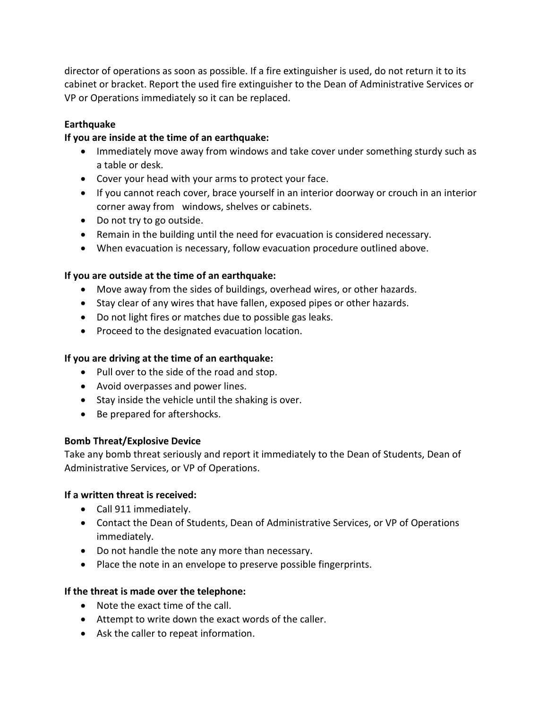director of operations as soon as possible. If a fire extinguisher is used, do not return it to its cabinet or bracket. Report the used fire extinguisher to the Dean of Administrative Services or VP or Operations immediately so it can be replaced.

## **Earthquake**

## **If you are inside at the time of an earthquake:**

- Immediately move away from windows and take cover under something sturdy such as a table or desk.
- Cover your head with your arms to protect your face.
- If you cannot reach cover, brace yourself in an interior doorway or crouch in an interior corner away from windows, shelves or cabinets.
- Do not try to go outside.
- Remain in the building until the need for evacuation is considered necessary.
- When evacuation is necessary, follow evacuation procedure outlined above.

# **If you are outside at the time of an earthquake:**

- Move away from the sides of buildings, overhead wires, or other hazards.
- Stay clear of any wires that have fallen, exposed pipes or other hazards.
- Do not light fires or matches due to possible gas leaks.
- Proceed to the designated evacuation location.

## **If you are driving at the time of an earthquake:**

- Pull over to the side of the road and stop.
- Avoid overpasses and power lines.
- Stay inside the vehicle until the shaking is over.
- Be prepared for aftershocks.

### **Bomb Threat/Explosive Device**

Take any bomb threat seriously and report it immediately to the Dean of Students, Dean of Administrative Services, or VP of Operations.

### **If a written threat is received:**

- Call 911 immediately.
- Contact the Dean of Students, Dean of Administrative Services, or VP of Operations immediately.
- Do not handle the note any more than necessary.
- Place the note in an envelope to preserve possible fingerprints.

### **If the threat is made over the telephone:**

- Note the exact time of the call.
- Attempt to write down the exact words of the caller.
- Ask the caller to repeat information.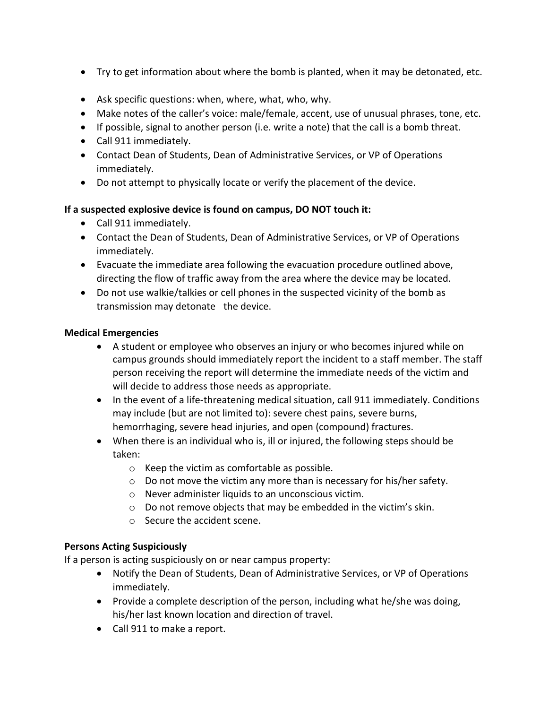- Try to get information about where the bomb is planted, when it may be detonated, etc.
- Ask specific questions: when, where, what, who, why.
- Make notes of the caller's voice: male/female, accent, use of unusual phrases, tone, etc.
- If possible, signal to another person (i.e. write a note) that the call is a bomb threat.
- Call 911 immediately.
- Contact Dean of Students, Dean of Administrative Services, or VP of Operations immediately.
- Do not attempt to physically locate or verify the placement of the device.

# **If a suspected explosive device is found on campus, DO NOT touch it:**

- Call 911 immediately.
- Contact the Dean of Students, Dean of Administrative Services, or VP of Operations immediately.
- Evacuate the immediate area following the evacuation procedure outlined above, directing the flow of traffic away from the area where the device may be located.
- Do not use walkie/talkies or cell phones in the suspected vicinity of the bomb as transmission may detonate the device.

### **Medical Emergencies**

- A student or employee who observes an injury or who becomes injured while on campus grounds should immediately report the incident to a staff member. The staff person receiving the report will determine the immediate needs of the victim and will decide to address those needs as appropriate.
- In the event of a life-threatening medical situation, call 911 immediately. Conditions may include (but are not limited to): severe chest pains, severe burns, hemorrhaging, severe head injuries, and open (compound) fractures.
- When there is an individual who is, ill or injured, the following steps should be taken:
	- o Keep the victim as comfortable as possible.
	- $\circ$  Do not move the victim any more than is necessary for his/her safety.
	- o Never administer liquids to an unconscious victim.
	- o Do not remove objects that may be embedded in the victim's skin.
	- o Secure the accident scene.

# **Persons Acting Suspiciously**

If a person is acting suspiciously on or near campus property:

- Notify the Dean of Students, Dean of Administrative Services, or VP of Operations immediately.
- Provide a complete description of the person, including what he/she was doing, his/her last known location and direction of travel.
- Call 911 to make a report.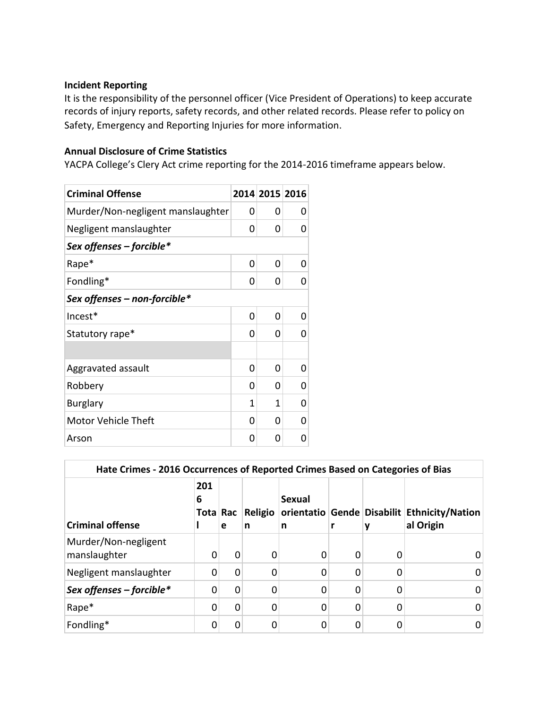# **Incident Reporting**

It is the responsibility of the personnel officer (Vice President of Operations) to keep accurate records of injury reports, safety records, and other related records. Please refer to policy on Safety, Emergency and Reporting Injuries for more information.

### **Annual Disclosure of Crime Statistics**

YACPA College's Clery Act crime reporting for the 2014-2016 timeframe appears below.

| <b>Criminal Offense</b>           |   | 2014 2015 2016 |   |
|-----------------------------------|---|----------------|---|
| Murder/Non-negligent manslaughter | 0 | 0              | 0 |
| Negligent manslaughter            | 0 | 0              | O |
| Sex offenses – forcible*          |   |                |   |
| Rape*                             | 0 | O              | O |
| Fondling*                         | O | O              | O |
| Sex offenses – non-forcible*      |   |                |   |
| Incest <sup>*</sup>               | 0 | 0              | O |
| Statutory rape*                   | 0 | 0              | O |
|                                   |   |                |   |
| Aggravated assault                | 0 | 0              | 0 |
| Robbery                           | 0 | O              | ი |
| <b>Burglary</b>                   | 1 | 1              | 0 |
| <b>Motor Vehicle Theft</b>        | O | O              | O |
| Arson                             | Ω | O              | O |

| Hate Crimes - 2016 Occurrences of Reported Crimes Based on Categories of Bias |                      |          |                |               |   |   |                                             |  |
|-------------------------------------------------------------------------------|----------------------|----------|----------------|---------------|---|---|---------------------------------------------|--|
|                                                                               | 201<br>6<br>Tota Rac |          | <b>Religio</b> | <b>Sexual</b> |   |   | orientatio Gende Disabilit Ethnicity/Nation |  |
| <b>Criminal offense</b>                                                       |                      | e        | n              | n             |   | у | al Origin                                   |  |
| Murder/Non-negligent<br>manslaughter                                          | 0                    | 0        | 0              | 0             | 0 |   |                                             |  |
| Negligent manslaughter                                                        | 0                    | 0        | ∩              | 0             | 0 |   |                                             |  |
| Sex offenses - forcible*                                                      | 0                    | 0        | ∩              | 0             | 0 | 0 | 0                                           |  |
| Rape*                                                                         | 0                    | $\Omega$ | 0              | 0             | 0 | 0 | 0                                           |  |
| Fondling*                                                                     | 0                    |          |                | 0             | 0 |   | 0                                           |  |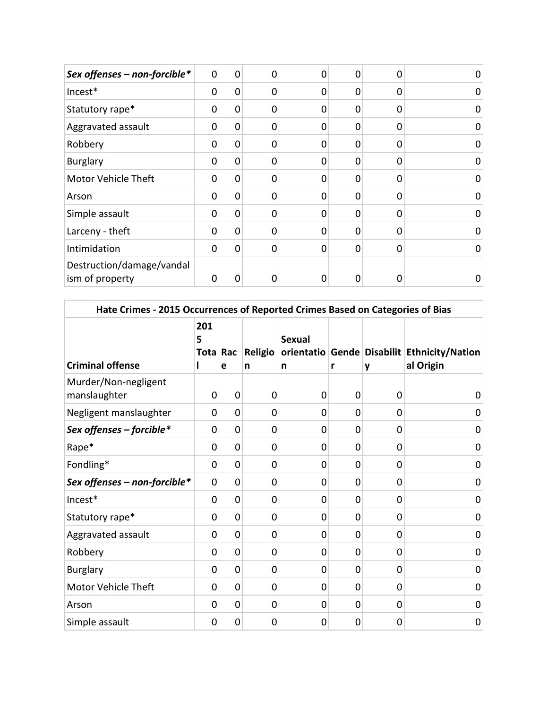| Sex offenses - non-forcible*                 | 0              | $\Omega$       | $\Omega$       | 0 | $\mathbf 0$ | 0 | $\Omega$    |
|----------------------------------------------|----------------|----------------|----------------|---|-------------|---|-------------|
| Incest*                                      | $\mathbf 0$    | $\Omega$       | $\Omega$       | 0 | $\mathbf 0$ | 0 | 0           |
| Statutory rape*                              | $\mathbf 0$    | $\Omega$       | $\Omega$       | 0 | $\mathbf 0$ | 0 | 0           |
| Aggravated assault                           | 0              | $\mathbf{0}$   | $\Omega$       | 0 | $\mathbf 0$ | 0 | 0           |
| Robbery                                      | $\mathbf 0$    | $\Omega$       | $\Omega$       | 0 | $\mathbf 0$ | 0 | 0           |
| <b>Burglary</b>                              | $\overline{0}$ | $\mathbf{0}$   | $\Omega$       | 0 | $\mathbf 0$ | 0 | 0           |
| <b>Motor Vehicle Theft</b>                   | 0              | $\Omega$       | $\Omega$       | 0 | $\mathbf 0$ | 0 | 0           |
| Arson                                        | 0              | $\Omega$       | $\Omega$       | 0 | $\mathbf 0$ | 0 | $\mathbf 0$ |
| Simple assault                               | 0              | $\overline{0}$ | $\overline{0}$ | 0 | $\mathbf 0$ | 0 | 0           |
| Larceny - theft                              | $\mathbf 0$    | $\mathbf{0}$   | $\overline{0}$ | 0 | $\mathbf 0$ | 0 | 0           |
| Intimidation                                 | $\mathbf 0$    | $\mathbf{0}$   | $\Omega$       | 0 | $\mathbf 0$ | 0 | $\mathbf 0$ |
| Destruction/damage/vandal<br>ism of property | 0              | $\Omega$       | 0              | 0 | $\mathbf 0$ | 0 | 0           |

| Hate Crimes - 2015 Occurrences of Reported Crimes Based on Categories of Bias |  |  |
|-------------------------------------------------------------------------------|--|--|
|-------------------------------------------------------------------------------|--|--|

| <b>Criminal offense</b>              | 201<br>5<br>Tota Rac | e        | <b>Religio</b><br>n | <b>Sexual</b><br>n | r              | y           | orientatio Gende Disabilit Ethnicity/Nation<br>al Origin |
|--------------------------------------|----------------------|----------|---------------------|--------------------|----------------|-------------|----------------------------------------------------------|
| Murder/Non-negligent<br>manslaughter | 0                    | 0        | 0                   | 0                  | $\mathbf 0$    | 0           | 0                                                        |
| Negligent manslaughter               | 0                    | 0        | 0                   | 0                  | $\mathbf 0$    | 0           | 0                                                        |
| Sex offenses - forcible*             | $\mathbf 0$          | 0        | 0                   | 0                  | $\mathbf 0$    | $\Omega$    | 0                                                        |
| Rape*                                | 0                    | 0        | 0                   | $\mathbf 0$        | $\overline{0}$ | 0           | 0                                                        |
| Fondling*                            | $\mathbf 0$          | 0        | 0                   | 0                  | $\mathbf 0$    | 0           | 0                                                        |
| Sex offenses - non-forcible*         | $\mathbf 0$          | 0        | 0                   | 0                  | $\mathbf 0$    | 0           | 0                                                        |
| Incest*                              | $\overline{0}$       | 0        | 0                   | 0                  | $\overline{0}$ | 0           | $\overline{0}$                                           |
| Statutory rape*                      | 0                    | 0        | 0                   | 0                  | $\overline{0}$ | $\Omega$    | 0                                                        |
| Aggravated assault                   | 0                    | 0        | 0                   | 0                  | $\mathbf 0$    | 0           | 0                                                        |
| Robbery                              | 0                    | 0        | 0                   | 0                  | $\mathbf 0$    | 0           | 0                                                        |
| <b>Burglary</b>                      | 0                    | 0        | 0                   | 0                  | $\mathbf 0$    | 0           | 0                                                        |
| <b>Motor Vehicle Theft</b>           | $\mathbf 0$          | $\Omega$ | 0                   | $\mathbf 0$        | $\overline{0}$ | $\mathbf 0$ | $\overline{0}$                                           |
| Arson                                | 0                    | 0        | 0                   | 0                  | $\overline{0}$ | 0           | 0                                                        |
| Simple assault                       | 0                    | 0        | 0                   | 0                  | $\mathbf 0$    | 0           | 0                                                        |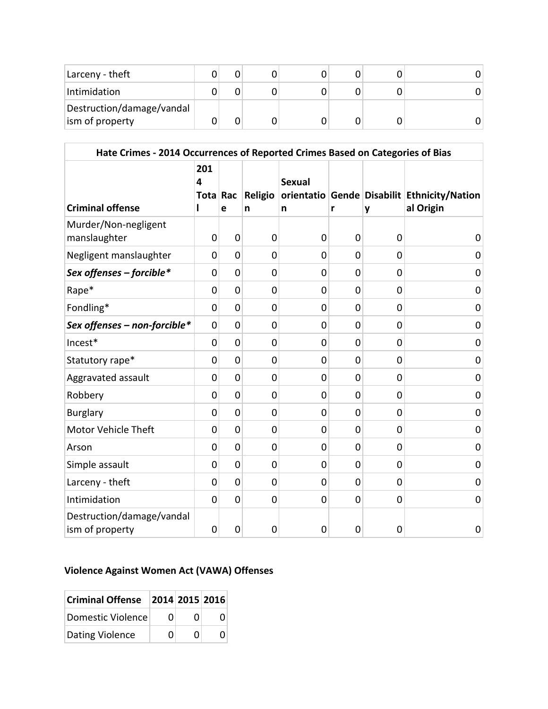| Larceny - theft           |  |  |  |  |
|---------------------------|--|--|--|--|
| Intimidation              |  |  |  |  |
| Destruction/damage/vandal |  |  |  |  |
| ism of property           |  |  |  |  |

### **Hate Crimes - 2014 Occurrences of Reported Crimes Based on Categories of Bias**

| <b>Criminal offense</b>                      | 201<br>4<br>Tota Rac | e              | <b>Religio</b><br>n | <b>Sexual</b><br>n | r              | y              | orientatio Gende Disabilit Ethnicity/Nation<br>al Origin |
|----------------------------------------------|----------------------|----------------|---------------------|--------------------|----------------|----------------|----------------------------------------------------------|
| Murder/Non-negligent<br>manslaughter         | $\mathbf 0$          | $\mathbf 0$    | 0                   | 0                  | $\mathbf 0$    | 0              | 0                                                        |
| Negligent manslaughter                       | 0                    | $\overline{0}$ | 0                   | 0                  | 0              | 0              | 0                                                        |
| Sex offenses - forcible*                     | 0                    | $\overline{0}$ | $\Omega$            | 0                  | $\overline{0}$ | $\Omega$       | 0                                                        |
| Rape*                                        | $\mathbf 0$          | $\mathbf 0$    | 0                   | 0                  | $\overline{0}$ | 0              | 0                                                        |
| Fondling*                                    | $\mathbf 0$          | $\mathbf 0$    | $\overline{0}$      | 0                  | $\overline{0}$ | $\overline{0}$ | 0                                                        |
| Sex offenses - non-forcible*                 | 0                    | $\mathbf 0$    | 0                   | 0                  | 0              | 0              | 0                                                        |
| Incest*                                      | $\mathbf 0$          | $\overline{0}$ | $\Omega$            | 0                  | $\overline{0}$ | $\Omega$       | 0                                                        |
| Statutory rape*                              | $\mathbf 0$          | $\mathbf 0$    | 0                   | 0                  | 0              | 0              | 0                                                        |
| Aggravated assault                           | $\mathbf 0$          | $\mathbf 0$    | $\overline{0}$      | 0                  | $\mathbf 0$    | 0              | 0                                                        |
| Robbery                                      | 0                    | $\mathbf 0$    | 0                   | 0                  | $\mathbf 0$    | 0              | 0                                                        |
| <b>Burglary</b>                              | $\overline{0}$       | $\overline{0}$ | $\Omega$            | 0                  | $\overline{0}$ | $\Omega$       | 0                                                        |
| <b>Motor Vehicle Theft</b>                   | $\mathbf 0$          | $\mathbf 0$    | $\overline{0}$      | 0                  | $\overline{0}$ | 0              | 0                                                        |
| Arson                                        | $\mathbf 0$          | $\mathbf 0$    | $\overline{0}$      | $\mathbf 0$        | $\overline{0}$ | $\overline{0}$ | $\mathbf 0$                                              |
| Simple assault                               | $\mathbf 0$          | $\mathbf 0$    | 0                   | 0                  | $\mathbf 0$    | 0              | $\mathbf 0$                                              |
| Larceny - theft                              | $\overline{0}$       | $\overline{0}$ | $\Omega$            | 0                  | $\overline{0}$ | $\Omega$       | 0                                                        |
| Intimidation                                 | $\overline{0}$       | $\overline{0}$ | $\overline{0}$      | 0                  | $\overline{0}$ | $\overline{0}$ | 0                                                        |
| Destruction/damage/vandal<br>ism of property | 0                    | $\overline{0}$ | 0                   | 0                  | $\mathbf 0$    | 0              | 0                                                        |

# **Violence Against Women Act (VAWA) Offenses**

| Criminal Offense   2014   2015   2016 |   |   |             |
|---------------------------------------|---|---|-------------|
| Domestic Violence                     | n | n | 0           |
| Dating Violence                       | U | U | $^{\prime}$ |